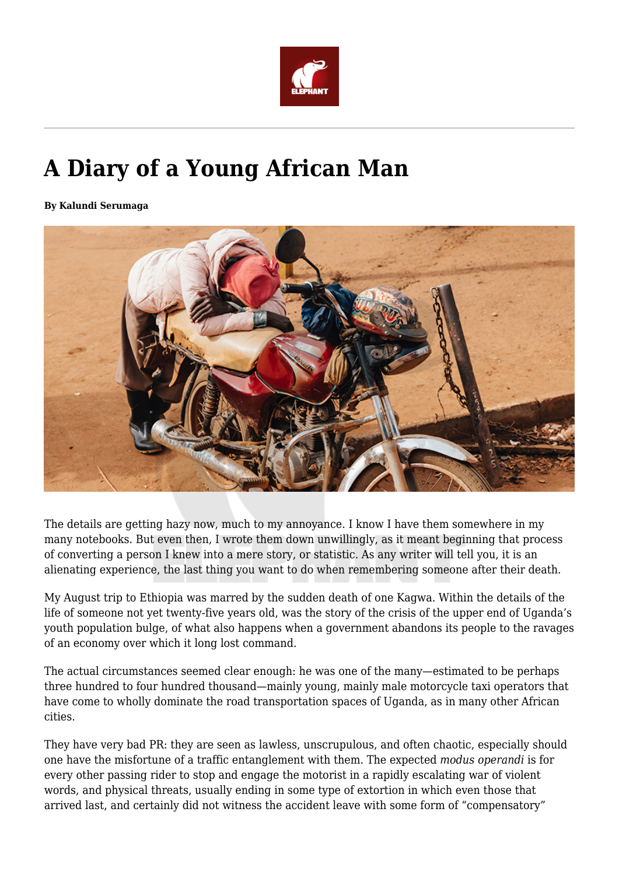

## **A Diary of a Young African Man**

**By Kalundi Serumaga**



The details are getting hazy now, much to my annoyance. I know I have them somewhere in my many notebooks. But even then, I wrote them down unwillingly, as it meant beginning that process of converting a person I knew into a mere story, or statistic. As any writer will tell you, it is an alienating experience, the last thing you want to do when remembering someone after their death.

My August trip to Ethiopia was marred by the sudden death of one Kagwa. Within the details of the life of someone not yet twenty-five years old, was the story of the crisis of the upper end of Uganda's youth population bulge, of what also happens when a government abandons its people to the ravages of an economy over which it long lost command.

The actual circumstances seemed clear enough: he was one of the many—estimated to be perhaps three hundred to four hundred thousand—mainly young, mainly male motorcycle taxi operators that have come to wholly dominate the road transportation spaces of Uganda, as in many other African cities.

They have very bad PR: they are seen as lawless, unscrupulous, and often chaotic, especially should one have the misfortune of a traffic entanglement with them. The expected *modus operandi* is for every other passing rider to stop and engage the motorist in a rapidly escalating war of violent words, and physical threats, usually ending in some type of extortion in which even those that arrived last, and certainly did not witness the accident leave with some form of "compensatory"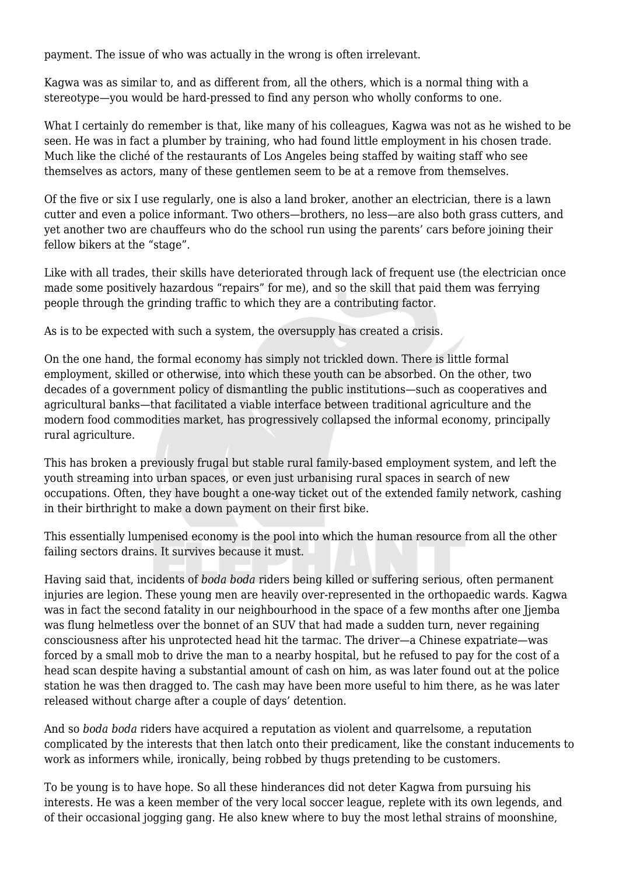payment. The issue of who was actually in the wrong is often irrelevant.

Kagwa was as similar to, and as different from, all the others, which is a normal thing with a stereotype—you would be hard-pressed to find any person who wholly conforms to one.

What I certainly do remember is that, like many of his colleagues, Kagwa was not as he wished to be seen. He was in fact a plumber by training, who had found little employment in his chosen trade. Much like the cliché of the restaurants of Los Angeles being staffed by waiting staff who see themselves as actors, many of these gentlemen seem to be at a remove from themselves.

Of the five or six I use regularly, one is also a land broker, another an electrician, there is a lawn cutter and even a police informant. Two others—brothers, no less—are also both grass cutters, and yet another two are chauffeurs who do the school run using the parents' cars before joining their fellow bikers at the "stage".

Like with all trades, their skills have deteriorated through lack of frequent use (the electrician once made some positively hazardous "repairs" for me), and so the skill that paid them was ferrying people through the grinding traffic to which they are a contributing factor.

As is to be expected with such a system, the oversupply has created a crisis.

On the one hand, the formal economy has simply not trickled down. There is little formal employment, skilled or otherwise, into which these youth can be absorbed. On the other, two decades of a government policy of dismantling the public institutions—such as cooperatives and agricultural banks—that facilitated a viable interface between traditional agriculture and the modern food commodities market, has progressively collapsed the informal economy, principally rural agriculture.

This has broken a previously frugal but stable rural family-based employment system, and left the youth streaming into urban spaces, or even just urbanising rural spaces in search of new occupations. Often, they have bought a one-way ticket out of the extended family network, cashing in their birthright to make a down payment on their first bike.

This essentially lumpenised economy is the pool into which the human resource from all the other failing sectors drains. It survives because it must.

Having said that, incidents of *boda boda* riders being killed or suffering serious, often permanent injuries are legion. These young men are heavily over-represented in the orthopaedic wards. Kagwa was in fact the second fatality in our neighbourhood in the space of a few months after one Jjemba was flung helmetless over the bonnet of an SUV that had made a sudden turn, never regaining consciousness after his unprotected head hit the tarmac. The driver—a Chinese expatriate—was forced by a small mob to drive the man to a nearby hospital, but he refused to pay for the cost of a head scan despite having a substantial amount of cash on him, as was later found out at the police station he was then dragged to. The cash may have been more useful to him there, as he was later released without charge after a couple of days' detention.

And so *boda boda* riders have acquired a reputation as violent and quarrelsome, a reputation complicated by the interests that then latch onto their predicament, like the constant inducements to work as informers while, ironically, being robbed by thugs pretending to be customers.

To be young is to have hope. So all these hinderances did not deter Kagwa from pursuing his interests. He was a keen member of the very local soccer league, replete with its own legends, and of their occasional jogging gang. He also knew where to buy the most lethal strains of moonshine,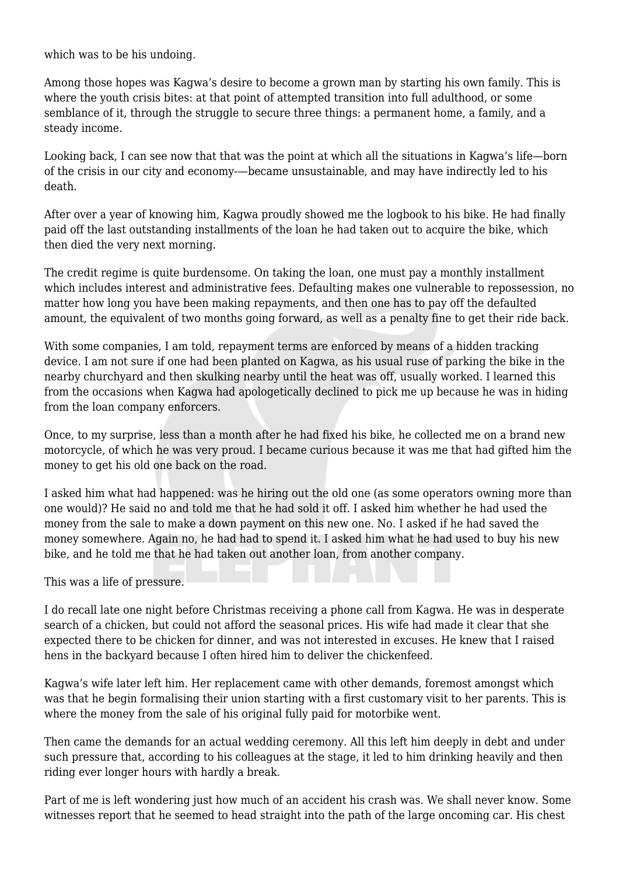which was to be his undoing.

Among those hopes was Kagwa's desire to become a grown man by starting his own family. This is where the youth crisis bites: at that point of attempted transition into full adulthood, or some semblance of it, through the struggle to secure three things: a permanent home, a family, and a steady income.

Looking back, I can see now that that was the point at which all the situations in Kagwa's life—born of the crisis in our city and economy-—became unsustainable, and may have indirectly led to his death.

After over a year of knowing him, Kagwa proudly showed me the logbook to his bike. He had finally paid off the last outstanding installments of the loan he had taken out to acquire the bike, which then died the very next morning.

The credit regime is quite burdensome. On taking the loan, one must pay a monthly installment which includes interest and administrative fees. Defaulting makes one vulnerable to repossession, no matter how long you have been making repayments, and then one has to pay off the defaulted amount, the equivalent of two months going forward, as well as a penalty fine to get their ride back.

With some companies, I am told, repayment terms are enforced by means of a hidden tracking device. I am not sure if one had been planted on Kagwa, as his usual ruse of parking the bike in the nearby churchyard and then skulking nearby until the heat was off, usually worked. I learned this from the occasions when Kagwa had apologetically declined to pick me up because he was in hiding from the loan company enforcers.

Once, to my surprise, less than a month after he had fixed his bike, he collected me on a brand new motorcycle, of which he was very proud. I became curious because it was me that had gifted him the money to get his old one back on the road.

I asked him what had happened: was he hiring out the old one (as some operators owning more than one would)? He said no and told me that he had sold it off. I asked him whether he had used the money from the sale to make a down payment on this new one. No. I asked if he had saved the money somewhere. Again no, he had had to spend it. I asked him what he had used to buy his new bike, and he told me that he had taken out another loan, from another company.

This was a life of pressure.

I do recall late one night before Christmas receiving a phone call from Kagwa. He was in desperate search of a chicken, but could not afford the seasonal prices. His wife had made it clear that she expected there to be chicken for dinner, and was not interested in excuses. He knew that I raised hens in the backyard because I often hired him to deliver the chickenfeed.

Kagwa's wife later left him. Her replacement came with other demands, foremost amongst which was that he begin formalising their union starting with a first customary visit to her parents. This is where the money from the sale of his original fully paid for motorbike went.

Then came the demands for an actual wedding ceremony. All this left him deeply in debt and under such pressure that, according to his colleagues at the stage, it led to him drinking heavily and then riding ever longer hours with hardly a break.

Part of me is left wondering just how much of an accident his crash was. We shall never know. Some witnesses report that he seemed to head straight into the path of the large oncoming car. His chest